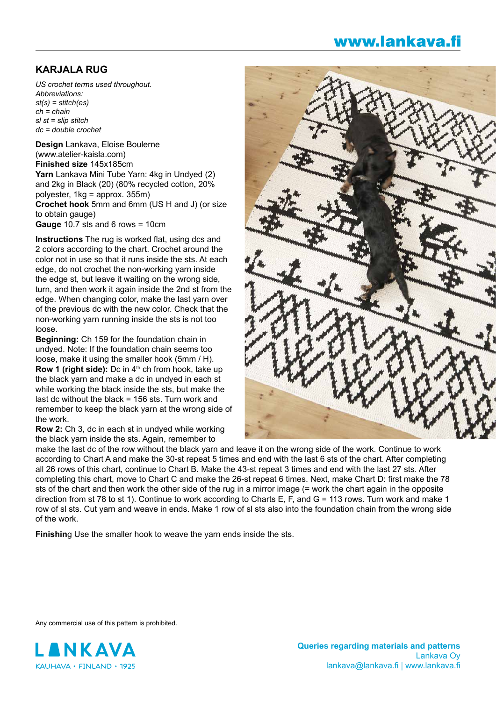## www.lankava.fi

## **KARJALA RUG**

*US crochet terms used throughout. Abbreviations: st(s) = stitch(es) ch = chain sl st = slip stitch dc = double crochet*

**Design** Lankava, Eloise Boulerne (www.atelier-kaisla.com) **Finished size** 145x185cm **Yarn** Lankava Mini Tube Yarn: 4kg in Undyed (2) and 2kg in Black (20) (80% recycled cotton, 20% polyester, 1kg = approx. 355m) **Crochet hook** 5mm and 6mm (US H and J) (or size to obtain gauge) **Gauge** 10.7 sts and 6 rows = 10cm

**Instructions** The rug is worked flat, using dcs and 2 colors according to the chart. Crochet around the color not in use so that it runs inside the sts. At each edge, do not crochet the non-working yarn inside the edge st, but leave it waiting on the wrong side, turn, and then work it again inside the 2nd st from the edge. When changing color, make the last yarn over of the previous dc with the new color. Check that the non-working yarn running inside the sts is not too loose.

**Beginning:** Ch 159 for the foundation chain in undyed. Note: If the foundation chain seems too loose, make it using the smaller hook (5mm / H). **Row 1 (right side):** Dc in 4<sup>th</sup> ch from hook, take up the black yarn and make a dc in undyed in each st while working the black inside the sts, but make the last dc without the black = 156 sts. Turn work and remember to keep the black yarn at the wrong side of the work.

**Row 2:** Ch 3, dc in each st in undyed while working the black yarn inside the sts. Again, remember to



make the last dc of the row without the black yarn and leave it on the wrong side of the work. Continue to work according to Chart A and make the 30-st repeat 5 times and end with the last 6 sts of the chart. After completing all 26 rows of this chart, continue to Chart B. Make the 43-st repeat 3 times and end with the last 27 sts. After completing this chart, move to Chart C and make the 26-st repeat 6 times. Next, make Chart D: first make the 78 sts of the chart and then work the other side of the rug in a mirror image (= work the chart again in the opposite direction from st 78 to st 1). Continue to work according to Charts E, F, and G = 113 rows. Turn work and make 1 row of sl sts. Cut yarn and weave in ends. Make 1 row of sl sts also into the foundation chain from the wrong side of the work.

**Finishin**g Use the smaller hook to weave the yarn ends inside the sts.

Any commercial use of this pattern is prohibited.